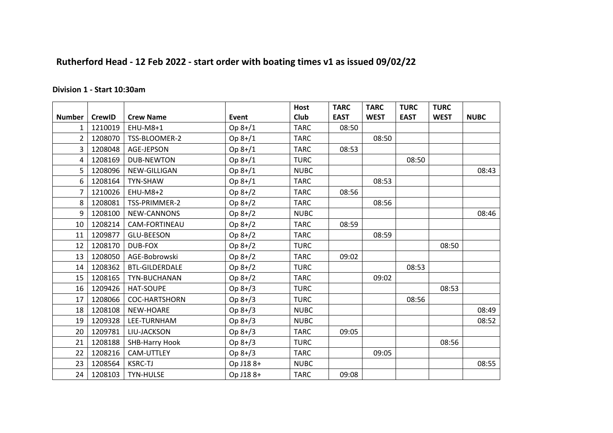## **Rutherford Head - 12 Feb 2022 - start order with boating times v1 as issued 09/02/22**

## **Division 1 - Start 10:30am**

|                |               |                       |           | <b>Host</b> | <b>TARC</b> | <b>TARC</b> | <b>TURC</b> | <b>TURC</b> |             |
|----------------|---------------|-----------------------|-----------|-------------|-------------|-------------|-------------|-------------|-------------|
| <b>Number</b>  | <b>CrewID</b> | <b>Crew Name</b>      | Event     | <b>Club</b> | <b>EAST</b> | <b>WEST</b> | <b>EAST</b> | <b>WEST</b> | <b>NUBC</b> |
|                | 1210019       | EHU-M8+1              | Op 8+/1   | <b>TARC</b> | 08:50       |             |             |             |             |
| 2 <sup>1</sup> | 1208070       | TSS-BLOOMER-2         | Op 8+/1   | <b>TARC</b> |             | 08:50       |             |             |             |
| $\mathbf{3}$   | 1208048       | AGE-JEPSON            | Op 8+/1   | <b>TARC</b> | 08:53       |             |             |             |             |
| $\overline{4}$ | 1208169       | <b>DUB-NEWTON</b>     | Op 8+/1   | <b>TURC</b> |             |             | 08:50       |             |             |
| 5              | 1208096       | NEW-GILLIGAN          | $Op 8+/1$ | <b>NUBC</b> |             |             |             |             | 08:43       |
| 6              | 1208164       | TYN-SHAW              | Op 8+/1   | <b>TARC</b> |             | 08:53       |             |             |             |
| $\overline{7}$ | 1210026       | EHU-M8+2              | Op 8+/2   | <b>TARC</b> | 08:56       |             |             |             |             |
| 8              | 1208081       | TSS-PRIMMER-2         | Op 8+/2   | <b>TARC</b> |             | 08:56       |             |             |             |
| 9              | 1208100       | NEW-CANNONS           | Op 8+/2   | <b>NUBC</b> |             |             |             |             | 08:46       |
| 10             | 1208214       | CAM-FORTINEAU         | Op 8+/2   | <b>TARC</b> | 08:59       |             |             |             |             |
| 11             | 1209877       | <b>GLU-BEESON</b>     | Op 8+/2   | <b>TARC</b> |             | 08:59       |             |             |             |
| 12             | 1208170       | <b>DUB-FOX</b>        | Op 8+/2   | <b>TURC</b> |             |             |             | 08:50       |             |
| 13             | 1208050       | AGE-Bobrowski         | Op 8+/2   | <b>TARC</b> | 09:02       |             |             |             |             |
| 14             | 1208362       | <b>BTL-GILDERDALE</b> | Op 8+/2   | <b>TURC</b> |             |             | 08:53       |             |             |
| 15             | 1208165       | TYN-BUCHANAN          | Op 8+/2   | <b>TARC</b> |             | 09:02       |             |             |             |
| 16             | 1209426       | HAT-SOUPE             | Op 8+/3   | <b>TURC</b> |             |             |             | 08:53       |             |
| 17             | 1208066       | <b>COC-HARTSHORN</b>  | Op 8+/3   | <b>TURC</b> |             |             | 08:56       |             |             |
| 18             | 1208108       | NEW-HOARE             | $Op 8+/3$ | <b>NUBC</b> |             |             |             |             | 08:49       |
| 19             | 1209328       | LEE-TURNHAM           | Op 8+/3   | <b>NUBC</b> |             |             |             |             | 08:52       |
| 20             | 1209781       | LIU-JACKSON           | Op 8+/3   | <b>TARC</b> | 09:05       |             |             |             |             |
| 21             | 1208188       | <b>SHB-Harry Hook</b> | $Op 8+/3$ | <b>TURC</b> |             |             |             | 08:56       |             |
| 22             | 1208216       | CAM-UTTLEY            | Op 8+/3   | <b>TARC</b> |             | 09:05       |             |             |             |
| 23             | 1208564       | <b>KSRC-TJ</b>        | Op J188+  | <b>NUBC</b> |             |             |             |             | 08:55       |
| 24             | 1208103       | <b>TYN-HULSE</b>      | Op J188+  | <b>TARC</b> | 09:08       |             |             |             |             |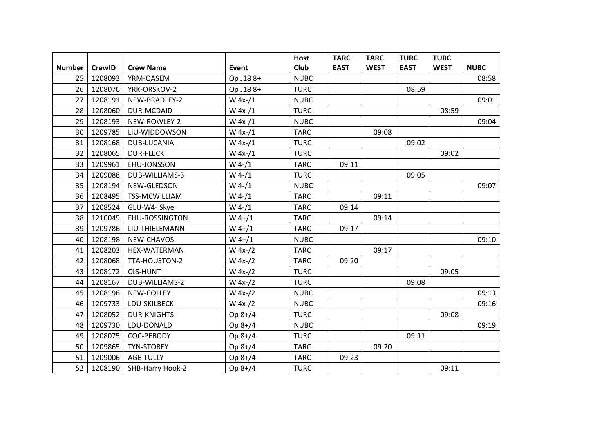|                 |               |                    |           | <b>Host</b> | <b>TARC</b> | <b>TARC</b> | <b>TURC</b> | <b>TURC</b> |             |
|-----------------|---------------|--------------------|-----------|-------------|-------------|-------------|-------------|-------------|-------------|
| <b>Number</b>   | <b>CrewID</b> | <b>Crew Name</b>   | Event     | Club        | <b>EAST</b> | <b>WEST</b> | <b>EAST</b> | <b>WEST</b> | <b>NUBC</b> |
| 25              | 1208093       | YRM-QASEM          | Op J188+  | <b>NUBC</b> |             |             |             |             | 08:58       |
| 26              | 1208076       | YRK-ORSKOV-2       | Op J188+  | <b>TURC</b> |             |             | 08:59       |             |             |
| 27              | 1208191       | NEW-BRADLEY-2      | $W$ 4x-/1 | <b>NUBC</b> |             |             |             |             | 09:01       |
| 28              | 1208060       | DUR-MCDAID         | $W 4x-1$  | <b>TURC</b> |             |             |             | 08:59       |             |
| 29              | 1208193       | NEW-ROWLEY-2       | W $4x-1$  | <b>NUBC</b> |             |             |             |             | 09:04       |
| 30              | 1209785       | LIU-WIDDOWSON      | W $4x-1$  | <b>TARC</b> |             | 09:08       |             |             |             |
| 31              | 1208168       | DUB-LUCANIA        | $W 4x-1$  | <b>TURC</b> |             |             | 09:02       |             |             |
| 32 <sub>2</sub> | 1208065       | <b>DUR-FLECK</b>   | $W 4x-1$  | <b>TURC</b> |             |             |             | 09:02       |             |
| 33              | 1209961       | EHU-JONSSON        | $W$ 4-/1  | <b>TARC</b> | 09:11       |             |             |             |             |
| 34              | 1209088       | DUB-WILLIAMS-3     | $W$ 4-/1  | <b>TURC</b> |             |             | 09:05       |             |             |
| 35              | 1208194       | NEW-GLEDSON        | $W$ 4-/1  | <b>NUBC</b> |             |             |             |             | 09:07       |
| 36              | 1208495       | TSS-MCWILLIAM      | $W$ 4-/1  | <b>TARC</b> |             | 09:11       |             |             |             |
| 37              | 1208524       | GLU-W4- Skye       | $W$ 4-/1  | <b>TARC</b> | 09:14       |             |             |             |             |
| 38              | 1210049       | EHU-ROSSINGTON     | $W$ 4+/1  | <b>TARC</b> |             | 09:14       |             |             |             |
| 39              | 1209786       | LIU-THIELEMANN     | $W$ 4+/1  | <b>TARC</b> | 09:17       |             |             |             |             |
| 40              | 1208198       | NEW-CHAVOS         | $W$ 4+/1  | <b>NUBC</b> |             |             |             |             | 09:10       |
| 41              | 1208203       | HEX-WATERMAN       | $W 4x-2$  | <b>TARC</b> |             | 09:17       |             |             |             |
| 42              | 1208068       | TTA-HOUSTON-2      | $W 4x-2$  | <b>TARC</b> | 09:20       |             |             |             |             |
| 43              | 1208172       | <b>CLS-HUNT</b>    | $W 4x-2$  | <b>TURC</b> |             |             |             | 09:05       |             |
| 44              | 1208167       | DUB-WILLIAMS-2     | $W 4x-2$  | <b>TURC</b> |             |             | 09:08       |             |             |
| 45              | 1208196       | NEW-COLLEY         | $W 4x-2$  | <b>NUBC</b> |             |             |             |             | 09:13       |
| 46              | 1209733       | LDU-SKILBECK       | $W 4x-2$  | <b>NUBC</b> |             |             |             |             | 09:16       |
| 47              | 1208052       | <b>DUR-KNIGHTS</b> | Op 8+/4   | <b>TURC</b> |             |             |             | 09:08       |             |
| 48              | 1209730       | LDU-DONALD         | Op 8+/4   | <b>NUBC</b> |             |             |             |             | 09:19       |
| 49              | 1208075       | COC-PEBODY         | Op 8+/4   | <b>TURC</b> |             |             | 09:11       |             |             |
| 50              | 1209865       | <b>TYN-STOREY</b>  | Op 8+/4   | <b>TARC</b> |             | 09:20       |             |             |             |
| 51              | 1209006       | AGE-TULLY          | Op 8+/4   | <b>TARC</b> | 09:23       |             |             |             |             |
| 52              | 1208190       | SHB-Harry Hook-2   | Op 8+/4   | <b>TURC</b> |             |             |             | 09:11       |             |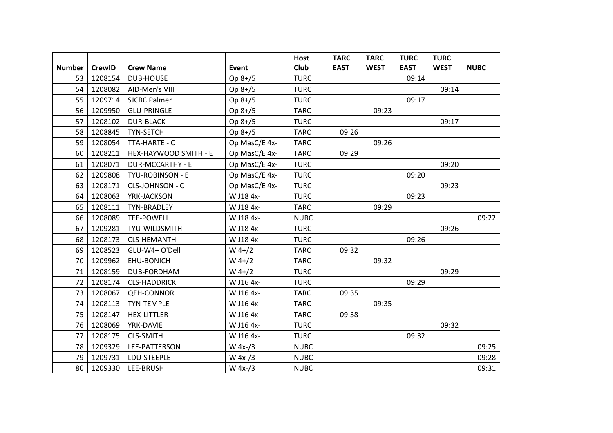|               |               |                         |               | <b>Host</b> | <b>TARC</b> | <b>TARC</b> | <b>TURC</b> | <b>TURC</b> |             |
|---------------|---------------|-------------------------|---------------|-------------|-------------|-------------|-------------|-------------|-------------|
| <b>Number</b> | <b>CrewID</b> | <b>Crew Name</b>        | Event         | Club        | <b>EAST</b> | <b>WEST</b> | <b>EAST</b> | <b>WEST</b> | <b>NUBC</b> |
| 53            | 1208154       | <b>DUB-HOUSE</b>        | Op $8+/5$     | <b>TURC</b> |             |             | 09:14       |             |             |
| 54            | 1208082       | AID-Men's VIII          | Op 8+/5       | <b>TURC</b> |             |             |             | 09:14       |             |
| 55            | 1209714       | <b>SJCBC Palmer</b>     | Op 8+/5       | <b>TURC</b> |             |             | 09:17       |             |             |
| 56            | 1209950       | <b>GLU-PRINGLE</b>      | Op 8+/5       | <b>TARC</b> |             | 09:23       |             |             |             |
| 57            | 1208102       | <b>DUR-BLACK</b>        | Op 8+/5       | <b>TURC</b> |             |             |             | 09:17       |             |
| 58            | 1208845       | TYN-SETCH               | Op 8+/5       | <b>TARC</b> | 09:26       |             |             |             |             |
| 59            | 1208054       | TTA-HARTE - C           | Op MasC/E 4x- | <b>TARC</b> |             | 09:26       |             |             |             |
| 60            | 1208211       | HEX-HAYWOOD SMITH - E   | Op MasC/E 4x- | <b>TARC</b> | 09:29       |             |             |             |             |
| 61            | 1208071       | <b>DUR-MCCARTHY - E</b> | Op MasC/E 4x- | <b>TURC</b> |             |             |             | 09:20       |             |
| 62            | 1209808       | TYU-ROBINSON - E        | Op MasC/E 4x- | <b>TURC</b> |             |             | 09:20       |             |             |
| 63            | 1208171       | <b>CLS-JOHNSON - C</b>  | Op MasC/E 4x- | <b>TURC</b> |             |             |             | 09:23       |             |
| 64            | 1208063       | YRK-JACKSON             | W J18 4x-     | <b>TURC</b> |             |             | 09:23       |             |             |
| 65            | 1208111       | TYN-BRADLEY             | W J18 4x-     | <b>TARC</b> |             | 09:29       |             |             |             |
| 66            | 1208089       | <b>TEE-POWELL</b>       | W J18 4x-     | <b>NUBC</b> |             |             |             |             | 09:22       |
| 67            | 1209281       | TYU-WILDSMITH           | W J18 4x-     | <b>TURC</b> |             |             |             | 09:26       |             |
| 68            | 1208173       | <b>CLS-HEMANTH</b>      | W J18 4x-     | <b>TURC</b> |             |             | 09:26       |             |             |
| 69            | 1208523       | GLU-W4+ O'Dell          | $W$ 4+/2      | <b>TARC</b> | 09:32       |             |             |             |             |
| 70            | 1209962       | EHU-BONICH              | $W$ 4+/2      | <b>TARC</b> |             | 09:32       |             |             |             |
| 71            | 1208159       | DUB-FORDHAM             | $W$ 4+/2      | <b>TURC</b> |             |             |             | 09:29       |             |
| 72            | 1208174       | <b>CLS-HADDRICK</b>     | W J16 4x-     | <b>TURC</b> |             |             | 09:29       |             |             |
| 73            | 1208067       | <b>QEH-CONNOR</b>       | W J16 4x-     | <b>TARC</b> | 09:35       |             |             |             |             |
| 74            | 1208113       | <b>TYN-TEMPLE</b>       | W J16 4x-     | <b>TARC</b> |             | 09:35       |             |             |             |
| 75            | 1208147       | <b>HEX-LITTLER</b>      | W J16 4x-     | <b>TARC</b> | 09:38       |             |             |             |             |
| 76            | 1208069       | YRK-DAVIE               | W J16 4x-     | <b>TURC</b> |             |             |             | 09:32       |             |
| 77            | 1208175       | <b>CLS-SMITH</b>        | W J16 4x-     | <b>TURC</b> |             |             | 09:32       |             |             |
| 78            | 1209329       | LEE-PATTERSON           | $W 4x-1/3$    | <b>NUBC</b> |             |             |             |             | 09:25       |
| 79            | 1209731       | LDU-STEEPLE             | $W 4x-1/3$    | <b>NUBC</b> |             |             |             |             | 09:28       |
| 80            | 1209330       | LEE-BRUSH               | $W 4x-1/3$    | <b>NUBC</b> |             |             |             |             | 09:31       |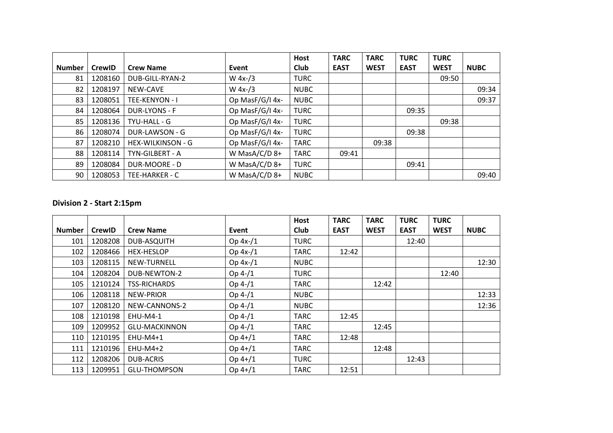|               |               |                      |                 | <b>Host</b> | <b>TARC</b> | <b>TARC</b> | <b>TURC</b> | <b>TURC</b> |             |
|---------------|---------------|----------------------|-----------------|-------------|-------------|-------------|-------------|-------------|-------------|
| <b>Number</b> | <b>CrewID</b> | <b>Crew Name</b>     | Event           | <b>Club</b> | <b>EAST</b> | <b>WEST</b> | <b>EAST</b> | <b>WEST</b> | <b>NUBC</b> |
| 81            | 1208160       | DUB-GILL-RYAN-2      | W $4x-3$        | <b>TURC</b> |             |             |             | 09:50       |             |
| 82            | 1208197       | NEW-CAVE             | W $4x-1/3$      | <b>NUBC</b> |             |             |             |             | 09:34       |
| 83            | 1208051       | TEE-KENYON - I       | Op MasF/G/I 4x- | <b>NUBC</b> |             |             |             |             | 09:37       |
| 84            | 1208064       | <b>DUR-LYONS - F</b> | Op MasF/G/I 4x- | <b>TURC</b> |             |             | 09:35       |             |             |
| 85            | 1208136       | TYU-HALL - G         | Op MasF/G/I 4x- | <b>TURC</b> |             |             |             | 09:38       |             |
| 86            | 1208074       | DUR-LAWSON - G       | Op MasF/G/I 4x- | <b>TURC</b> |             |             | 09:38       |             |             |
| 87            | 1208210       | HEX-WILKINSON - G    | Op MasF/G/I 4x- | TARC        |             | 09:38       |             |             |             |
| 88            | 1208114       | TYN-GILBERT - A      | W MasA/C/D 8+   | <b>TARC</b> | 09:41       |             |             |             |             |
| 89            | 1208084       | DUR-MOORE - D        | W MasA/C/D 8+   | <b>TURC</b> |             |             | 09:41       |             |             |
| 90            | 1208053       | TEE-HARKER - C       | W MasA/C/D 8+   | <b>NUBC</b> |             |             |             |             | 09:40       |

## **Division 2 - Start 2:15pm**

|               |               |                      |            | <b>Host</b> | <b>TARC</b> | <b>TARC</b> | <b>TURC</b> | <b>TURC</b> |             |
|---------------|---------------|----------------------|------------|-------------|-------------|-------------|-------------|-------------|-------------|
| <b>Number</b> | <b>CrewID</b> | <b>Crew Name</b>     | Event      | <b>Club</b> | <b>EAST</b> | <b>WEST</b> | <b>EAST</b> | <b>WEST</b> | <b>NUBC</b> |
| 101           | 1208208       | DUB-ASQUITH          | Op $4x-1$  | <b>TURC</b> |             |             | 12:40       |             |             |
| 102           | 1208466       | <b>HEX-HESLOP</b>    | Op $4x-1$  | <b>TARC</b> | 12:42       |             |             |             |             |
| 103           | 1208115       | <b>NEW-TURNELL</b>   | Op $4x-/1$ | <b>NUBC</b> |             |             |             |             | 12:30       |
| 104           | 1208204       | DUB-NEWTON-2         | $Op 4-/1$  | <b>TURC</b> |             |             |             | 12:40       |             |
| 105           | 1210124       | <b>TSS-RICHARDS</b>  | $Op 4-/1$  | <b>TARC</b> |             | 12:42       |             |             |             |
| 106           | 1208118       | <b>NEW-PRIOR</b>     | $Op 4-/1$  | <b>NUBC</b> |             |             |             |             | 12:33       |
| 107           | 1208120       | NEW-CANNONS-2        | $Op 4-/1$  | <b>NUBC</b> |             |             |             |             | 12:36       |
| 108           | 1210198       | <b>EHU-M4-1</b>      | $Op 4-/1$  | <b>TARC</b> | 12:45       |             |             |             |             |
| 109           | 1209952       | <b>GLU-MACKINNON</b> | $Op 4-/1$  | <b>TARC</b> |             | 12:45       |             |             |             |
| 110           | 1210195       | $EHU-M4+1$           | $Op 4+/1$  | <b>TARC</b> | 12:48       |             |             |             |             |
| 111           | 1210196       | EHU-M4+2             | $Op 4+/1$  | <b>TARC</b> |             | 12:48       |             |             |             |
| 112           | 1208206       | <b>DUB-ACRIS</b>     | $Op 4+/1$  | <b>TURC</b> |             |             | 12:43       |             |             |
| 113           | 1209951       | <b>GLU-THOMPSON</b>  | $Op 4+/1$  | <b>TARC</b> | 12:51       |             |             |             |             |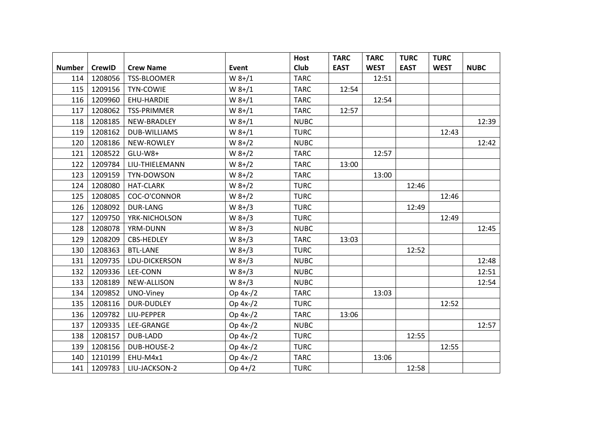|               |               |                     |          | Host        | <b>TARC</b> | <b>TARC</b> | <b>TURC</b> | <b>TURC</b> |             |
|---------------|---------------|---------------------|----------|-------------|-------------|-------------|-------------|-------------|-------------|
| <b>Number</b> | <b>CrewID</b> | <b>Crew Name</b>    | Event    | <b>Club</b> | <b>EAST</b> | <b>WEST</b> | <b>EAST</b> | <b>WEST</b> | <b>NUBC</b> |
| 114           | 1208056       | TSS-BLOOMER         | $W 8+/1$ | <b>TARC</b> |             | 12:51       |             |             |             |
| 115           | 1209156       | TYN-COWIE           | $W 8+/1$ | <b>TARC</b> | 12:54       |             |             |             |             |
| 116           | 1209960       | EHU-HARDIE          | $W 8+/1$ | <b>TARC</b> |             | 12:54       |             |             |             |
| 117           | 1208062       | <b>TSS-PRIMMER</b>  | $W 8+/1$ | <b>TARC</b> | 12:57       |             |             |             |             |
| 118           | 1208185       | NEW-BRADLEY         | $W 8+/1$ | <b>NUBC</b> |             |             |             |             | 12:39       |
| 119           | 1208162       | <b>DUB-WILLIAMS</b> | $W 8+/1$ | <b>TURC</b> |             |             |             | 12:43       |             |
| 120           | 1208186       | NEW-ROWLEY          | $W 8+/2$ | <b>NUBC</b> |             |             |             |             | 12:42       |
| 121           | 1208522       | GLU-W8+             | $W 8+/2$ | <b>TARC</b> |             | 12:57       |             |             |             |
| 122           | 1209784       | LIU-THIELEMANN      | $W 8+/2$ | <b>TARC</b> | 13:00       |             |             |             |             |
| 123           | 1209159       | TYN-DOWSON          | $W 8+/2$ | <b>TARC</b> |             | 13:00       |             |             |             |
| 124           | 1208080       | <b>HAT-CLARK</b>    | $W 8+/2$ | <b>TURC</b> |             |             | 12:46       |             |             |
| 125           | 1208085       | COC-O'CONNOR        | $W 8+/2$ | <b>TURC</b> |             |             |             | 12:46       |             |
| 126           | 1208092       | <b>DUR-LANG</b>     | $W 8+/3$ | <b>TURC</b> |             |             | 12:49       |             |             |
| 127           | 1209750       | YRK-NICHOLSON       | $W 8+/3$ | <b>TURC</b> |             |             |             | 12:49       |             |
| 128           | 1208078       | YRM-DUNN            | $W 8+/3$ | <b>NUBC</b> |             |             |             |             | 12:45       |
| 129           | 1208209       | CBS-HEDLEY          | $W 8+/3$ | <b>TARC</b> | 13:03       |             |             |             |             |
| 130           | 1208363       | <b>BTL-LANE</b>     | $W 8+/3$ | <b>TURC</b> |             |             | 12:52       |             |             |
| 131           | 1209735       | LDU-DICKERSON       | $W 8+/3$ | <b>NUBC</b> |             |             |             |             | 12:48       |
| 132           | 1209336       | LEE-CONN            | $W 8+/3$ | <b>NUBC</b> |             |             |             |             | 12:51       |
| 133           | 1208189       | NEW-ALLISON         | $W 8+/3$ | <b>NUBC</b> |             |             |             |             | 12:54       |
| 134           | 1209852       | UNO-Viney           | Op 4x-/2 | <b>TARC</b> |             | 13:03       |             |             |             |
| 135           | 1208116       | <b>DUR-DUDLEY</b>   | Op 4x-/2 | <b>TURC</b> |             |             |             | 12:52       |             |
| 136           | 1209782       | LIU-PEPPER          | Op 4x-/2 | <b>TARC</b> | 13:06       |             |             |             |             |
| 137           | 1209335       | LEE-GRANGE          | Op 4x-/2 | <b>NUBC</b> |             |             |             |             | 12:57       |
| 138           | 1208157       | DUB-LADD            | Op 4x-/2 | <b>TURC</b> |             |             | 12:55       |             |             |
| 139           | 1208156       | DUB-HOUSE-2         | Op 4x-/2 | <b>TURC</b> |             |             |             | 12:55       |             |
| 140           | 1210199       | EHU-M4x1            | Op 4x-/2 | <b>TARC</b> |             | 13:06       |             |             |             |
| 141           | 1209783       | LIU-JACKSON-2       | Op 4+/2  | <b>TURC</b> |             |             | 12:58       |             |             |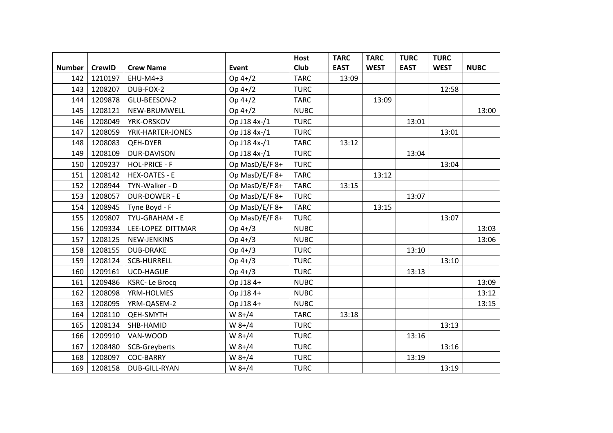|               |               |                      |                | Host        | <b>TARC</b> | <b>TARC</b> | <b>TURC</b> | <b>TURC</b> |             |
|---------------|---------------|----------------------|----------------|-------------|-------------|-------------|-------------|-------------|-------------|
| <b>Number</b> | <b>CrewID</b> | <b>Crew Name</b>     | Event          | <b>Club</b> | <b>EAST</b> | <b>WEST</b> | <b>EAST</b> | <b>WEST</b> | <b>NUBC</b> |
| 142           | 1210197       | EHU-M4+3             | $Op 4+/2$      | <b>TARC</b> | 13:09       |             |             |             |             |
| 143           | 1208207       | DUB-FOX-2            | Op 4+/2        | <b>TURC</b> |             |             |             | 12:58       |             |
| 144           | 1209878       | GLU-BEESON-2         | $Op 4+/2$      | <b>TARC</b> |             | 13:09       |             |             |             |
| 145           | 1208121       | NEW-BRUMWELL         | $Op 4+/2$      | <b>NUBC</b> |             |             |             |             | 13:00       |
| 146           | 1208049       | YRK-ORSKOV           | Op J18 4x-/1   | <b>TURC</b> |             |             | 13:01       |             |             |
| 147           | 1208059       | YRK-HARTER-JONES     | Op J18 4x-/1   | <b>TURC</b> |             |             |             | 13:01       |             |
| 148           | 1208083       | <b>QEH-DYER</b>      | Op J18 4x-/1   | <b>TARC</b> | 13:12       |             |             |             |             |
| 149           | 1208109       | DUR-DAVISON          | Op J18 4x-/1   | <b>TURC</b> |             |             | 13:04       |             |             |
| 150           | 1209237       | <b>HOL-PRICE - F</b> | Op MasD/E/F 8+ | <b>TURC</b> |             |             |             | 13:04       |             |
| 151           | 1208142       | <b>HEX-OATES - E</b> | Op MasD/E/F 8+ | <b>TARC</b> |             | 13:12       |             |             |             |
| 152           | 1208944       | TYN-Walker - D       | Op MasD/E/F 8+ | <b>TARC</b> | 13:15       |             |             |             |             |
| 153           | 1208057       | DUR-DOWER - E        | Op MasD/E/F 8+ | <b>TURC</b> |             |             | 13:07       |             |             |
| 154           | 1208945       | Tyne Boyd - F        | Op MasD/E/F 8+ | <b>TARC</b> |             | 13:15       |             |             |             |
| 155           | 1209807       | TYU-GRAHAM - E       | Op MasD/E/F 8+ | <b>TURC</b> |             |             |             | 13:07       |             |
| 156           | 1209334       | LEE-LOPEZ DITTMAR    | $Op 4+/3$      | <b>NUBC</b> |             |             |             |             | 13:03       |
| 157           | 1208125       | NEW-JENKINS          | Op 4+/3        | <b>NUBC</b> |             |             |             |             | 13:06       |
| 158           | 1208155       | <b>DUB-DRAKE</b>     | Op 4+/3        | <b>TURC</b> |             |             | 13:10       |             |             |
| 159           | 1208124       | <b>SCB-HURRELL</b>   | Op 4+/3        | <b>TURC</b> |             |             |             | 13:10       |             |
| 160           | 1209161       | <b>UCD-HAGUE</b>     | Op 4+/3        | <b>TURC</b> |             |             | 13:13       |             |             |
| 161           | 1209486       | <b>KSRC-Le Brocq</b> | Op J18 4+      | <b>NUBC</b> |             |             |             |             | 13:09       |
| 162           | 1208098       | YRM-HOLMES           | Op J18 4+      | <b>NUBC</b> |             |             |             |             | 13:12       |
| 163           | 1208095       | YRM-QASEM-2          | Op J18 4+      | <b>NUBC</b> |             |             |             |             | 13:15       |
| 164           | 1208110       | <b>QEH-SMYTH</b>     | $W 8+/4$       | <b>TARC</b> | 13:18       |             |             |             |             |
| 165           | 1208134       | SHB-HAMID            | $W 8+/4$       | <b>TURC</b> |             |             |             | 13:13       |             |
| 166           | 1209910       | VAN-WOOD             | $W 8+/4$       | <b>TURC</b> |             |             | 13:16       |             |             |
| 167           | 1208480       | SCB-Greyberts        | $W 8+/4$       | <b>TURC</b> |             |             |             | 13:16       |             |
| 168           | 1208097       | <b>COC-BARRY</b>     | $W 8+/4$       | <b>TURC</b> |             |             | 13:19       |             |             |
| 169           | 1208158       | DUB-GILL-RYAN        | $W 8+/4$       | <b>TURC</b> |             |             |             | 13:19       |             |